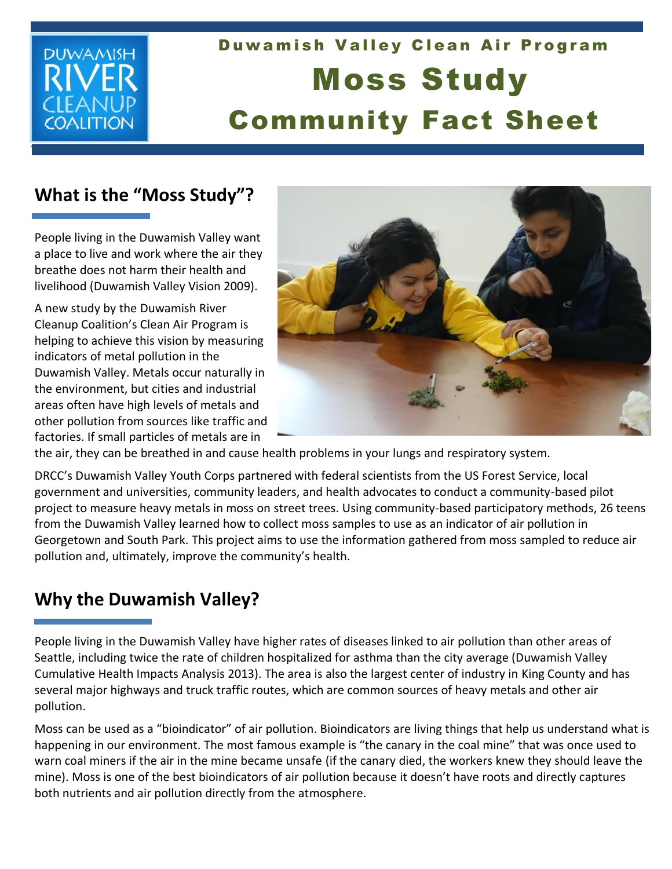## **DUWAMISH** FANI COALITION

# Duwamish Valley Clean Air Program Moss Study Community Fact Sheet

### **What is the "Moss Study"?**

People living in the Duwamish Valley want a place to live and work where the air they breathe does not harm their health and livelihood (Duwamish Valley Vision 2009).

A new study by the Duwamish River Cleanup Coalition's Clean Air Program is helping to achieve this vision by measuring indicators of metal pollution in the Duwamish Valley. Metals occur naturally in the environment, but cities and industrial areas often have high levels of metals and other pollution from sources like traffic and factories. If small particles of metals are in



the air, they can be breathed in and cause health problems in your lungs and respiratory system.

DRCC's Duwamish Valley Youth Corps partnered with federal scientists from the US Forest Service, local government and universities, community leaders, and health advocates to conduct a community-based pilot project to measure heavy metals in moss on street trees. Using community-based participatory methods, 26 teens from the Duwamish Valley learned how to collect moss samples to use as an indicator of air pollution in Georgetown and South Park. This project aims to use the information gathered from moss sampled to reduce air pollution and, ultimately, improve the community's health.

#### **Why the Duwamish Valley?**

People living in the Duwamish Valley have higher rates of diseases linked to air pollution than other areas of Seattle, including twice the rate of children hospitalized for asthma than the city average (Duwamish Valley Cumulative Health Impacts Analysis 2013). The area is also the largest center of industry in King County and has several major highways and truck traffic routes, which are common sources of heavy metals and other air pollution.

Moss can be used as a "bioindicator" of air pollution. Bioindicators are living things that help us understand what is happening in our environment. The most famous example is "the canary in the coal mine" that was once used to warn coal miners if the air in the mine became unsafe (if the canary died, the workers knew they should leave the mine). Moss is one of the best bioindicators of air pollution because it doesn't have roots and directly captures both nutrients and air pollution directly from the atmosphere.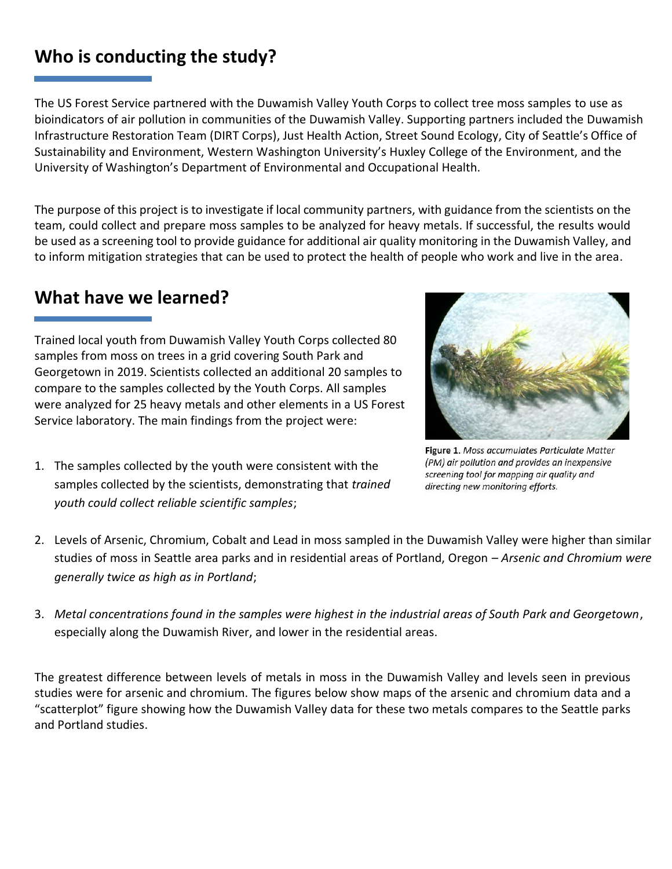#### **Who is conducting the study?**

The US Forest Service partnered with the Duwamish Valley Youth Corps to collect tree moss samples to use as bioindicators of air pollution in communities of the Duwamish Valley. Supporting partners included the Duwamish Infrastructure Restoration Team (DIRT Corps), Just Health Action, Street Sound Ecology, City of Seattle's Office of Sustainability and Environment, Western Washington University's Huxley College of the Environment, and the University of Washington's Department of Environmental and Occupational Health.

The purpose of this project is to investigate if local community partners, with guidance from the scientists on the team, could collect and prepare moss samples to be analyzed for heavy metals. If successful, the results would be used as a screening tool to provide guidance for additional air quality monitoring in the Duwamish Valley, and to inform mitigation strategies that can be used to protect the health of people who work and live in the area.

#### **What have we learned?**

Trained local youth from Duwamish Valley Youth Corps collected 80 samples from moss on trees in a grid covering South Park and Georgetown in 2019. Scientists collected an additional 20 samples to compare to the samples collected by the Youth Corps. All samples were analyzed for 25 heavy metals and other elements in a US Forest Service laboratory. The main findings from the project were:



Figure 1. Moss accumulates Particulate Matter (PM) air pollution and provides an inexpensive screening tool for mapping air quality and directing new monitoring efforts.

- 1. The samples collected by the youth were consistent with the samples collected by the scientists, demonstrating that *trained youth could collect reliable scientific samples*;
- 2. Levels of Arsenic, Chromium, Cobalt and Lead in moss sampled in the Duwamish Valley were higher than similar studies of moss in Seattle area parks and in residential areas of Portland, Oregon – *Arsenic and Chromium were generally twice as high as in Portland*;
- 3. *Metal concentrations found in the samples were highest in the industrial areas of South Park and Georgetown*, especially along the Duwamish River, and lower in the residential areas.

The greatest difference between levels of metals in moss in the Duwamish Valley and levels seen in previous studies were for arsenic and chromium. The figures below show maps of the arsenic and chromium data and a "scatterplot" figure showing how the Duwamish Valley data for these two metals compares to the Seattle parks and Portland studies.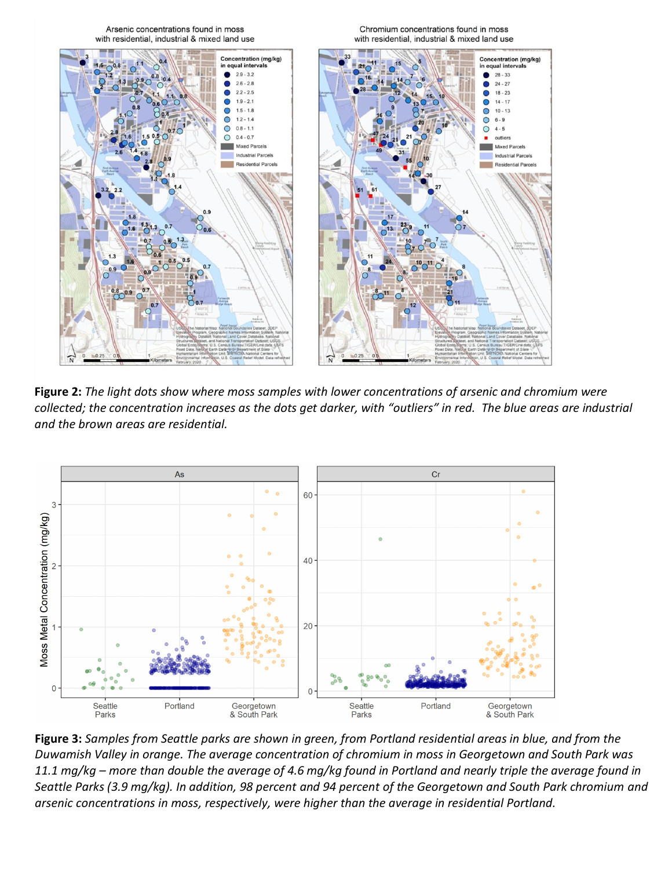

**Figure 2:** *The light dots show where moss samples with lower concentrations of arsenic and chromium were collected; the concentration increases as the dots get darker, with "outliers" in red. The blue areas are industrial and the brown areas are residential.*



**Figure 3:** *Samples from Seattle parks are shown in green, from Portland residential areas in blue, and from the Duwamish Valley in orange. The average concentration of chromium in moss in Georgetown and South Park was 11.1 mg/kg – more than double the average of 4.6 mg/kg found in Portland and nearly triple the average found in Seattle Parks (3.9 mg/kg). In addition, 98 percent and 94 percent of the Georgetown and South Park chromium and arsenic concentrations in moss, respectively, were higher than the average in residential Portland.*